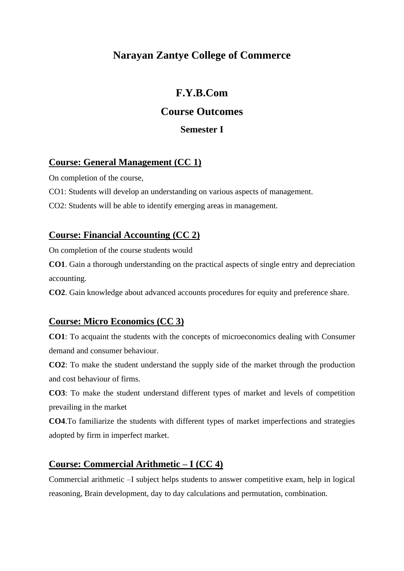## **Narayan Zantye College of Commerce**

## **F.Y.B.Com**

## **Course Outcomes**

#### **Semester I**

## **Course: General Management (CC 1)**

On completion of the course,

CO1: Students will develop an understanding on various aspects of management.

CO2: Students will be able to identify emerging areas in management.

#### **Course: Financial Accounting (CC 2)**

On completion of the course students would

**CO1**. Gain a thorough understanding on the practical aspects of single entry and depreciation accounting.

**CO2**. Gain knowledge about advanced accounts procedures for equity and preference share.

#### **Course: Micro Economics (CC 3)**

**CO1**: To acquaint the students with the concepts of microeconomics dealing with Consumer demand and consumer behaviour.

**CO2**: To make the student understand the supply side of the market through the production and cost behaviour of firms.

**CO3**: To make the student understand different types of market and levels of competition prevailing in the market

**CO4**.To familiarize the students with different types of market imperfections and strategies adopted by firm in imperfect market.

#### **Course: Commercial Arithmetic – I (CC 4)**

Commercial arithmetic –I subject helps students to answer competitive exam, help in logical reasoning, Brain development, day to day calculations and permutation, combination.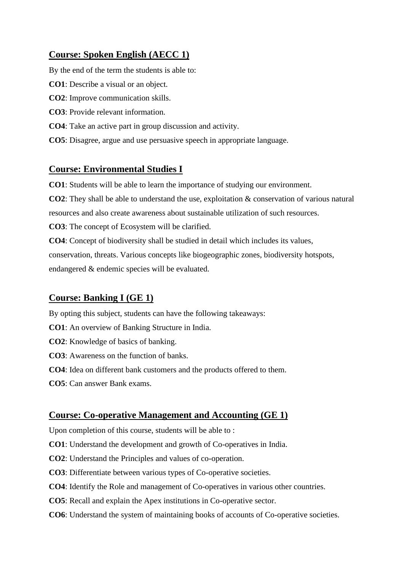## **Course: Spoken English (AECC 1)**

By the end of the term the students is able to:

**CO1**: Describe a visual or an object.

- **CO2**: Improve communication skills.
- **CO3**: Provide relevant information.
- **CO4**: Take an active part in group discussion and activity.
- **CO5**: Disagree, argue and use persuasive speech in appropriate language.

#### **Course: Environmental Studies I**

**CO1**: Students will be able to learn the importance of studying our environment.

**CO2**: They shall be able to understand the use, exploitation & conservation of various natural

resources and also create awareness about sustainable utilization of such resources.

**CO3**: The concept of Ecosystem will be clarified.

**CO4**: Concept of biodiversity shall be studied in detail which includes its values, conservation, threats. Various concepts like biogeographic zones, biodiversity hotspots, endangered & endemic species will be evaluated.

## **Course: Banking I (GE 1)**

By opting this subject, students can have the following takeaways:

- **CO1**: An overview of Banking Structure in India.
- **CO2**: Knowledge of basics of banking.
- **CO3**: Awareness on the function of banks.
- **CO4**: Idea on different bank customers and the products offered to them.
- **CO5**: Can answer Bank exams.

#### **Course: Co-operative Management and Accounting (GE 1)**

Upon completion of this course, students will be able to :

- **CO1**: Understand the development and growth of Co-operatives in India.
- **CO2**: Understand the Principles and values of co-operation.
- **CO3**: Differentiate between various types of Co-operative societies.
- **CO4**: Identify the Role and management of Co-operatives in various other countries.
- **CO5**: Recall and explain the Apex institutions in Co-operative sector.
- **CO6**: Understand the system of maintaining books of accounts of Co-operative societies.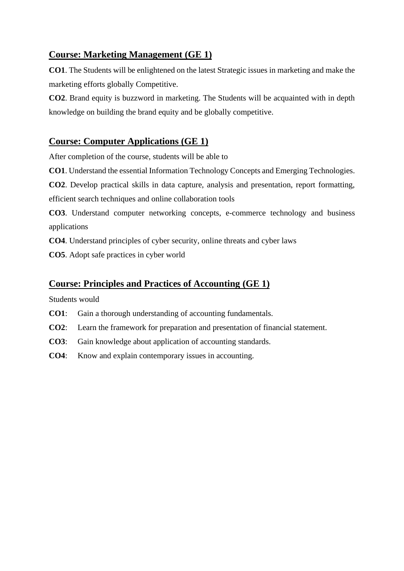## **Course: Marketing Management (GE 1)**

**CO1**. The Students will be enlightened on the latest Strategic issues in marketing and make the marketing efforts globally Competitive.

**CO2**. Brand equity is buzzword in marketing. The Students will be acquainted with in depth knowledge on building the brand equity and be globally competitive.

#### **Course: Computer Applications (GE 1)**

After completion of the course, students will be able to

**CO1**. Understand the essential Information Technology Concepts and Emerging Technologies.

**CO2**. Develop practical skills in data capture, analysis and presentation, report formatting, efficient search techniques and online collaboration tools

**CO3**. Understand computer networking concepts, e-commerce technology and business applications

**CO4**. Understand principles of cyber security, online threats and cyber laws

**CO5**. Adopt safe practices in cyber world

#### **Course: Principles and Practices of Accounting (GE 1)**

Students would

- **CO1**: Gain a thorough understanding of accounting fundamentals.
- **CO2**: Learn the framework for preparation and presentation of financial statement.
- **CO3**: Gain knowledge about application of accounting standards.
- **CO4**: Know and explain contemporary issues in accounting.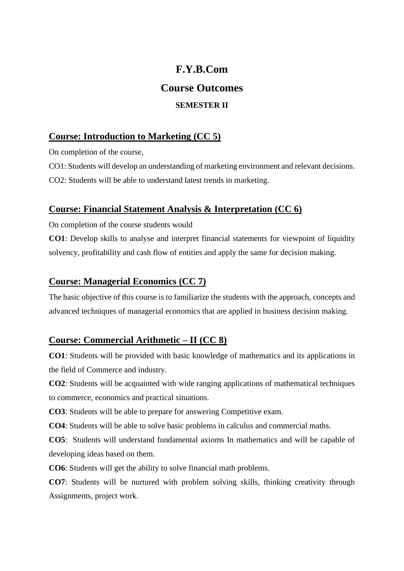# **F.Y.B.Com Course Outcomes SEMESTER II**

#### **Course: Introduction to Marketing (CC 5)**

On completion of the course,

CO1: Students will develop an understanding of marketing environment and relevant decisions. CO2: Students will be able to understand latest trends in marketing.

#### **Course: Financial Statement Analysis & Interpretation (CC 6)**

On completion of the course students would

**CO1**: Develop skills to analyse and interpret financial statements for viewpoint of liquidity solvency, profitability and cash flow of entities and apply the same for decision making.

#### **Course: Managerial Economics (CC 7)**

The basic objective of this course is to familiarize the students with the approach, concepts and advanced techniques of managerial economics that are applied in business decision making.

#### **Course: Commercial Arithmetic – II (CC 8)**

**CO1**: Students will be provided with basic knowledge of mathematics and its applications in the field of Commerce and industry.

**CO2**: Students will be acquainted with wide ranging applications of mathematical techniques to commerce, economics and practical situations.

**CO3**: Students will be able to prepare for answering Competitive exam.

**CO4**: Students will be able to solve basic problems in calculus and commercial maths.

**CO5**: Students will understand fundamental axioms In mathematics and will be capable of developing ideas based on them.

**CO6**: Students will get the ability to solve financial math problems.

**CO7**: Students will be nurtured with problem solving skills, thinking creativity through Assignments, project work.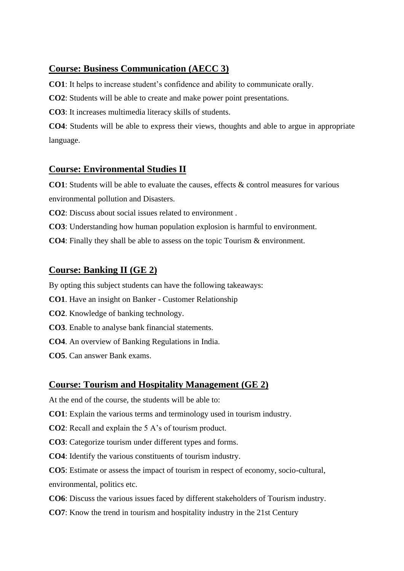## **Course: Business Communication (AECC 3)**

**CO1**: It helps to increase student's confidence and ability to communicate orally.

**CO2**: Students will be able to create and make power point presentations.

**CO3**: It increases multimedia literacy skills of students.

**CO4**: Students will be able to express their views, thoughts and able to argue in appropriate language.

## **Course: Environmental Studies II**

**CO1**: Students will be able to evaluate the causes, effects & control measures for various environmental pollution and Disasters.

**CO2**: Discuss about social issues related to environment .

**CO3**: Understanding how human population explosion is harmful to environment.

**CO4**: Finally they shall be able to assess on the topic Tourism & environment.

## **Course: Banking II (GE 2)**

By opting this subject students can have the following takeaways:

- **CO1**. Have an insight on Banker Customer Relationship
- **CO2**. Knowledge of banking technology.
- **CO3**. Enable to analyse bank financial statements.
- **CO4**. An overview of Banking Regulations in India.
- **CO5**. Can answer Bank exams.

#### **Course: Tourism and Hospitality Management (GE 2)**

At the end of the course, the students will be able to:

**CO1**: Explain the various terms and terminology used in tourism industry.

**CO2**: Recall and explain the 5 A's of tourism product.

**CO3**: Categorize tourism under different types and forms.

**CO4**: Identify the various constituents of tourism industry.

**CO5**: Estimate or assess the impact of tourism in respect of economy, socio-cultural, environmental, politics etc.

- **CO6**: Discuss the various issues faced by different stakeholders of Tourism industry.
- **CO7**: Know the trend in tourism and hospitality industry in the 21st Century